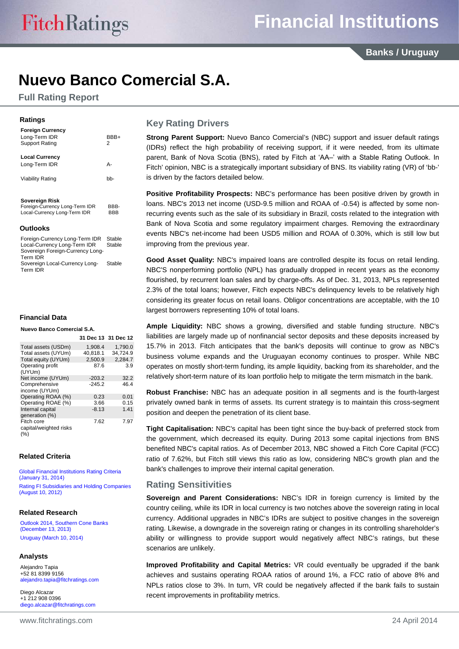**Banks / Uruguay**

# **Nuevo Banco Comercial S.A.**

**Full Rating Report**

## **Ratings**

| <b>Foreign Currency</b><br>Long-Term IDR<br><b>Support Rating</b> | BBB+<br>2 |
|-------------------------------------------------------------------|-----------|
| <b>Local Currency</b><br>Long-Term IDR                            | А-        |
| Viability Rating                                                  | hh-       |
|                                                                   |           |

#### **Sovereign Risk**

Foreign-Currency Long-Term IDR BBB-<br>Local-Currency Long-Term IDR BBB Local-Currency Long-Term IDR

## **Outlooks**

Foreign-Currency Long-Term IDR Stable Local-Currency Long-Term IDR Sovereign Foreign-Currency Long-Term IDR Stable Sovereign Local-Currency Long-Term IDR **Stable** 

## **Financial Data**

## **Nuevo Banco Comercial S.A.**

|                        | 31 Dec 13 31 Dec 12 |          |
|------------------------|---------------------|----------|
| Total assets (USDm)    | 1.908.4             | 1.790.0  |
| Total assets (UYUm)    | 40.818.1            | 34.724.9 |
| Total equity (UYUm)    | 2,500.9             | 2,284.7  |
| Operating profit       | 87.6                | 3.9      |
| (UYUm)                 |                     |          |
| Net income (UYUm)      | $-203.2$            | 32.2     |
| Comprehensive          | $-245.2$            | 46.4     |
| income (UYUm)          |                     |          |
| Operating ROAA (%)     | 0.23                | 0.01     |
| Operating ROAE (%)     | 3.66                | 0.15     |
| Internal capital       | $-8.13$             | 1.41     |
| generation (%)         |                     |          |
| Fitch core             | 7.62                | 7.97     |
| capital/weighted risks |                     |          |
| (%)                    |                     |          |

## **Related Criteria**

Global Financial Institutions Rating Criteria (January 31, 2014) Rating FI Subsidiaries and Holding Companies (August 10, 2012)

## **Related Research**

Outlook 2014, Southern Cone Banks (December 13, 2013) Uruguay (March 10, 2014)

## **Analysts**

Alejandro Tapia +52 81 8399 9156 alejandro.tapia@fitchratings.com

Diego Alcazar +1 212 908 0396 diego.alcazar@fitchratings.com

## **Key Rating Drivers**

**Strong Parent Support:** Nuevo Banco Comercial's (NBC) support and issuer default ratings (IDRs) reflect the high probability of receiving support, if it were needed, from its ultimate parent, Bank of Nova Scotia (BNS), rated by Fitch at 'AA-' with a Stable Rating Outlook. In Fitch' opinion, NBC is a strategically important subsidiary of BNS. Its viability rating (VR) of 'bb-' is driven by the factors detailed below.

**Positive Profitability Prospects:** NBC's performance has been positive driven by growth in loans. NBC's 2013 net income (USD-9.5 million and ROAA of -0.54) is affected by some nonrecurring events such as the sale of its subsidiary in Brazil, costs related to the integration with Bank of Nova Scotia and some regulatory impairment charges. Removing the extraordinary events NBC's net-income had been USD5 million and ROAA of 0.30%, which is still low but improving from the previous year.

**Good Asset Quality:** NBC's impaired loans are controlled despite its focus on retail lending. NBC'S nonperforming portfolio (NPL) has gradually dropped in recent years as the economy flourished, by recurrent loan sales and by charge-offs. As of Dec. 31, 2013, NPLs represented 2.3% of the total loans; however, Fitch expects NBC's delinquency levels to be relatively high considering its greater focus on retail loans. Obligor concentrations are acceptable, with the 10 largest borrowers representing 10% of total loans.

**Ample Liquidity:** NBC shows a growing, diversified and stable funding structure. NBC's liabilities are largely made up of nonfinancial sector deposits and these deposits increased by 15.7% in 2013. Fitch anticipates that the bank's deposits will continue to grow as NBC's business volume expands and the Uruguayan economy continues to prosper. While NBC operates on mostly short-term funding, its ample liquidity, backing from its shareholder, and the relatively short-term nature of its loan portfolio help to mitigate the term mismatch in the bank.

**Robust Franchise:** NBC has an adequate position in all segments and is the fourth-largest privately owned bank in terms of assets. Its current strategy is to maintain this cross-segment position and deepen the penetration of its client base.

**Tight Capitalisation:** NBC's capital has been tight since the buy-back of preferred stock from the government, which decreased its equity. During 2013 some capital injections from BNS benefited NBC's capital ratios. As of December 2013, NBC showed a Fitch Core Capital (FCC) ratio of 7.62%, but Fitch still views this ratio as low, considering NBC's growth plan and the bank's challenges to improve their internal capital generation.

## **Rating Sensitivities**

**Sovereign and Parent Considerations:** NBC's IDR in foreign currency is limited by the country ceiling, while its IDR in local currency is two notches above the sovereign rating in local currency. Additional upgrades in NBC's IDRs are subject to positive changes in the sovereign rating. Likewise, a downgrade in the sovereign rating or changes in its controlling shareholder's ability or willingness to provide support would negatively affect NBC's ratings, but these scenarios are unlikely.

**Improved Profitability and Capital Metrics:** VR could eventually be upgraded if the bank achieves and sustains operating ROAA ratios of around 1%, a FCC ratio of above 8% and NPLs ratios close to 3%. In turn, VR could be negatively affected if the bank fails to sustain recent improvements in profitability metrics.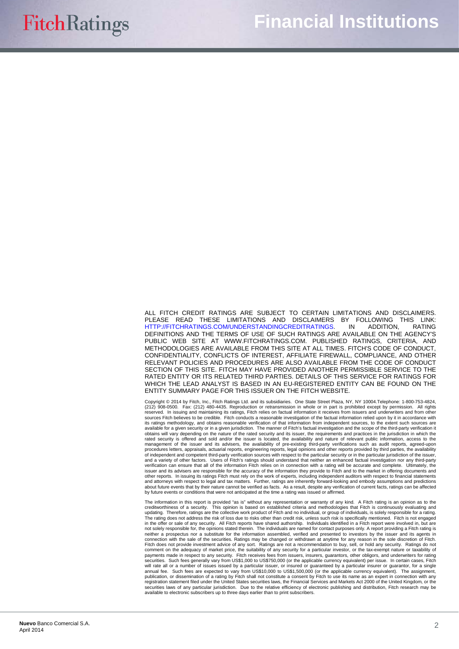ALL FITCH CREDIT RATINGS ARE SUBJECT TO CERTAIN LIMITATIONS AND DISCLAIMERS. PLEASE READ THESE LIMITATIONS AND DISCLAIMERS BY FOLLOWING THIS LINK: [HTTP://FITCHRATINGS.COM/UNDERSTANDINGCREDITRATINGS.](http://www.fitchratings.com/creditdesk/public/ratings_defintions/index.cfm?rd_file=intro#lmt_usage) IN ADDITION, RATING DEFINITIONS AND THE TERMS OF USE OF SUCH RATINGS ARE AVAILABLE ON THE AGENCY'S PUBLIC WEB SITE AT WWW.FITCHRATINGS.COM. PUBLISHED RATINGS, CRITERIA, AND METHODOLOGIES ARE AVAILABLE FROM THIS SITE AT ALL TIMES. FITCH'S CODE OF CONDUCT, CONFIDENTIALITY, CONFLICTS OF INTEREST, AFFILIATE FIREWALL, COMPLIANCE, AND OTHER RELEVANT POLICIES AND PROCEDURES ARE ALSO AVAILABLE FROM THE CODE OF CONDUCT SECTION OF THIS SITE. FITCH MAY HAVE PROVIDED ANOTHER PERMISSIBLE SERVICE TO THE RATED ENTITY OR ITS RELATED THIRD PARTIES. DETAILS OF THIS SERVICE FOR RATINGS FOR WHICH THE LEAD ANALYST IS BASED IN AN EU-REGISTERED ENTITY CAN BE FOUND ON THE ENTITY SUMMARY PAGE FOR THIS ISSUER ON THE FITCH WEBSITE.

Copyright © 2014 by Fitch, Inc., Fitch Ratings Ltd. and its subsidiaries. One State Street Plaza, NY, NY 10004.Telephone: 1-800-753-4824, Capacase State State State State State State State State State State State State Sta (212) 908-0500. Fax: (212) 480-4435. Reproduction or retransmission in whole or in part is prohibited except by permission. All rights reserved. In issuing and maintaining its ratings, Fitch relies on factual information it receives from issuers and underwriters and from other<br>sources Fitch believes to be credible. Fitch conducts a reasonable investigatio its ratings methodology, and obtains reasonable verification of that information from independent sources, to the extent such sources are available for a given security or in a given jurisdiction. The manner of Fitch's factual investigation and the scope of the third-party verification it obtains will vary depending on the nature of the rated security and its issuer, the requirements and practices in the jurisdiction in which the<br>rated security is offered and sold and/or the issuer is located, the availabil management of the issuer and its advisers, the availability of pre-existing third-party verifications such as audit reports, agreed-upon procedures letters, appraisals, actuarial reports, engineering reports, legal opinions and other reports provided by third parties, the availability of independent and competent third-party verification sources with respect to the particular security or in the particular jurisdiction of the issuer,<br>and a variety of other factors. Users of Fitch's ratings should unders issuer and its advisers are responsible for the accuracy of the information they provide to Fitch and to the market in offering documents and other reports. In issuing its ratings Fitch must rely on the work of experts, including independent auditors with respect to financial statements and attorneys with respect to legal and tax matters. Further, ratings are inherently forward-looking and embody assumptions and predictions<br>about future events that by their nature cannot be verified as facts. As a result, by future events or conditions that were not anticipated at the time a rating was issued or affirmed.

The information in this report is provided "as is" without any representation or warranty of any kind. A Fitch rating is an opinion as to the creditworthiness of a security. This opinion is based on established criteria and methodologies that Fitch is continuously evaluating and<br>updating. Therefore, ratings are the collective work product of Fitch and no individ in the offer or sale of any security. All Fitch reports have shared authorship. Individuals identified in a Fitch report were involved in, but are not solely responsible for, the opinions stated therein. The individuals are named for contact purposes only. A report providing a Fitch rating is neither a prospectus nor a substitute for the information assembled, verified and presented to investors by the issuer and its agents in<br>Connection with the sale of the securities. Ratings may be changed or withdrawn at an payments made in respect to any security. Fitch receives fees from issuers, insurers, guarantors, other obligors, and underwriters for rating<br>securities. Such fees generally vary from US\$1,000 to US\$750,000 (or the applic will rate all or a number of issues issued by a particular issuer, or insured or guaranteed by a particular insurer or guarantor, for a single<br>annual fee. Such fees are expected to vary from US\$10,000 to US\$1,500,000 (or t publication, or dissemination of a rating by Fitch shall not constitute a consent by Fitch to use its name as an expert in connection with any<br>registration statement filed under the United States securities laws, the Finan securities laws of any particular jurisdiction. Due to the relative efficiency of electronic publishing and distribution, Fitch research may be available to electronic subscribers up to three days earlier than to print subscribers.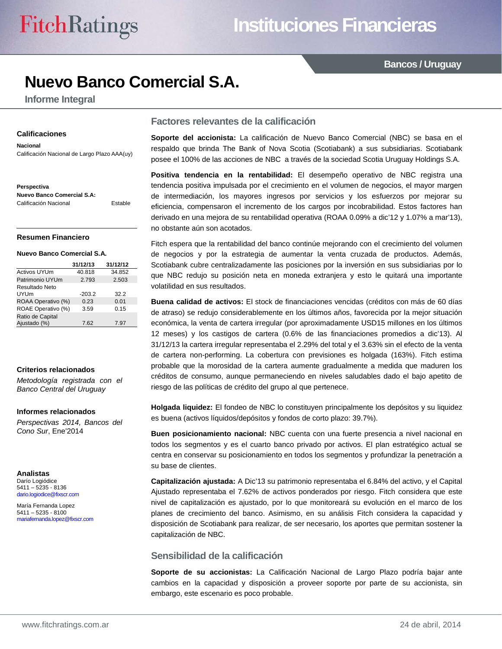# **Nuevo Banco Comercial S.A.**

**Informe Integral**

## **Calificaciones**

**Nacional**

Calificación Nacional de Largo Plazo AAA(uy)

**Perspectiva Nuevo Banco Comercial S.A:** Calificación Nacional Estable

## **Resumen Financiero**

#### **Nuevo Banco Comercial S.A.**

|                                  | 31/12/13 | 31/12/12 |
|----------------------------------|----------|----------|
| <b>Activos UYUm</b>              | 40.818   | 34.852   |
| Patrimonio UYUm                  | 2.793    | 2.503    |
| Resultado Neto<br><b>UYUm</b>    | $-203.2$ | 32.2     |
| ROAA Operativo (%)               | 0.23     | 0.01     |
| ROAE Operativo (%)               | 3.59     | 0.15     |
| Ratio de Capital<br>Ajustado (%) | 7.62     | 7.97     |

## **Criterios relacionados**

*Metodología registrada con el Banco Central del Uruguay*

#### **Informes relacionados**

*Perspectivas 2014, Bancos del Cono Sur*, Ene'2014

## **Analistas**

Darío Logiódice 5411 – 5235 - 8136 dario.logiodice@fixscr.com

María Fernanda Lopez 5411 – 5235 - 8100 mariafernanda.lopez@fixscr.com

## **Factores relevantes de la calificación**

**Soporte del accionista:** La calificación de Nuevo Banco Comercial (NBC) se basa en el respaldo que brinda The Bank of Nova Scotia (Scotiabank) a sus subsidiarias. Scotiabank posee el 100% de las acciones de NBC a través de la sociedad Scotia Uruguay Holdings S.A.

**Positiva tendencia en la rentabilidad:** El desempeño operativo de NBC registra una tendencia positiva impulsada por el crecimiento en el volumen de negocios, el mayor margen de intermediación, los mayores ingresos por servicios y los esfuerzos por mejorar su eficiencia, compensaron el incremento de los cargos por incobrabilidad. Estos factores han derivado en una mejora de su rentabilidad operativa (ROAA 0.09% a dic'12 y 1.07% a mar'13), no obstante aún son acotados.

Fitch espera que la rentabilidad del banco continúe mejorando con el crecimiento del volumen de negocios y por la estrategia de aumentar la venta cruzada de productos. Además, Scotiabank cubre centralizadamente las posiciones por la inversión en sus subsidiarias por lo que NBC redujo su posición neta en moneda extranjera y esto le quitará una importante volatilidad en sus resultados.

**Buena calidad de activos:** El stock de financiaciones vencidas (créditos con más de 60 días de atraso) se redujo considerablemente en los últimos años, favorecida por la mejor situación económica, la venta de cartera irregular (por aproximadamente USD15 millones en los últimos 12 meses) y los castigos de cartera (0.6% de las financiaciones promedios a dic'13). Al 31/12/13 la cartera irregular representaba el 2.29% del total y el 3.63% sin el efecto de la venta de cartera non-performing. La cobertura con previsiones es holgada (163%). Fitch estima probable que la morosidad de la cartera aumente gradualmente a medida que maduren los créditos de consumo, aunque permaneciendo en niveles saludables dado el bajo apetito de riesgo de las políticas de crédito del grupo al que pertenece.

**Holgada liquidez:** El fondeo de NBC lo constituyen principalmente los depósitos y su liquidez es buena (activos líquidos/depósitos y fondos de corto plazo: 39.7%).

**Buen posicionamiento nacional:** NBC cuenta con una fuerte presencia a nivel nacional en todos los segmentos y es el cuarto banco privado por activos. El plan estratégico actual se centra en conservar su posicionamiento en todos los segmentos y profundizar la penetración a su base de clientes.

**Capitalización ajustada:** A Dic'13 su patrimonio representaba el 6.84% del activo, y el Capital Ajustado representaba el 7.62% de activos ponderados por riesgo. Fitch considera que este nivel de capitalización es ajustado, por lo que monitoreará su evolución en el marco de los planes de crecimiento del banco. Asimismo, en su análisis Fitch considera la capacidad y disposición de Scotiabank para realizar, de ser necesario, los aportes que permitan sostener la capitalización de NBC.

## **Sensibilidad de la calificación**

**Soporte de su accionistas:** La Calificación Nacional de Largo Plazo podría bajar ante cambios en la capacidad y disposición a proveer soporte por parte de su accionista, sin embargo, este escenario es poco probable.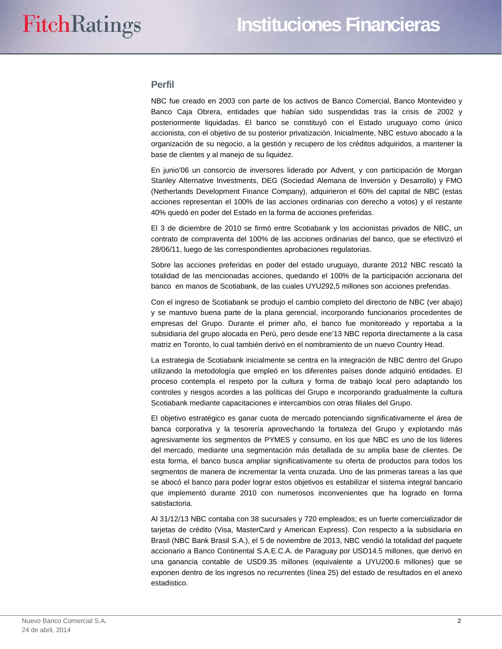## **Perfil**

NBC fue creado en 2003 con parte de los activos de Banco Comercial, Banco Montevideo y Banco Caja Obrera, entidades que habían sido suspendidas tras la crisis de 2002 y posteriormente liquidadas. El banco se constituyó con el Estado uruguayo como único accionista, con el objetivo de su posterior privatización. Inicialmente, NBC estuvo abocado a la organización de su negocio, a la gestión y recupero de los créditos adquiridos, a mantener la base de clientes y al manejo de su liquidez.

En junio'06 un consorcio de inversores liderado por Advent, y con participación de Morgan Stanley Alternative Investments, DEG (Sociedad Alemana de Inversión y Desarrollo) y FMO (Netherlands Development Finance Company), adquirieron el 60% del capital de NBC (estas acciones representan el 100% de las acciones ordinarias con derecho a votos) y el restante 40% quedó en poder del Estado en la forma de acciones preferidas.

El 3 de diciembre de 2010 se firmó entre Scotiabank y los accionistas privados de NBC, un contrato de compraventa del 100% de las acciones ordinarias del banco, que se efectivizó el 28/06/11, luego de las correspondientes aprobaciones regulatorias.

Sobre las acciones preferidas en poder del estado uruguayo, durante 2012 NBC rescató la totalidad de las mencionadas acciones, quedando el 100% de la participación accionaria del banco en manos de Scotiabank, de las cuales UYU292,5 millones son acciones preferidas.

Con el ingreso de Scotiabank se produjo el cambio completo del directorio de NBC (ver abajo) y se mantuvo buena parte de la plana gerencial, incorporando funcionarios procedentes de empresas del Grupo. Durante el primer año, el banco fue monitoreado y reportaba a la subsidiaria del grupo alocada en Perú, pero desde ene'13 NBC reporta directamente a la casa matriz en Toronto, lo cual también derivó en el nombramiento de un nuevo Country Head.

La estrategia de Scotiabank inicialmente se centra en la integración de NBC dentro del Grupo utilizando la metodología que empleó en los diferentes países donde adquirió entidades. El proceso contempla el respeto por la cultura y forma de trabajo local pero adaptando los controles y riesgos acordes a las políticas del Grupo e incorporando gradualmente la cultura Scotiabank mediante capacitaciones e intercambios con otras filiales del Grupo.

El objetivo estratégico es ganar cuota de mercado potenciando significativamente el área de banca corporativa y la tesorería aprovechando la fortaleza del Grupo y explotando más agresivamente los segmentos de PYMES y consumo, en los que NBC es uno de los líderes del mercado, mediante una segmentación más detallada de su amplia base de clientes. De esta forma, el banco busca ampliar significativamente su oferta de productos para todos los segmentos de manera de incrementar la venta cruzada. Uno de las primeras tareas a las que se abocó el banco para poder lograr estos objetivos es estabilizar el sistema integral bancario que implementó durante 2010 con numerosos inconvenientes que ha logrado en forma satisfactoria.

Al 31/12/13 NBC contaba con 38 sucursales y 720 empleados; es un fuerte comercializador de tarjetas de crédito (Visa, MasterCard y American Express). Con respecto a la subsidiaria en Brasil (NBC Bank Brasil S.A.), el 5 de noviembre de 2013, NBC vendió la totalidad del paquete accionario a Banco Continental S.A.E.C.A. de Paraguay por USD14.5 millones, que derivó en una ganancia contable de USD9.35 millones (equivalente a UYU200.6 millones) que se exponen dentro de los ingresos no recurrentes (línea 25) del estado de resultados en el anexo estadistico.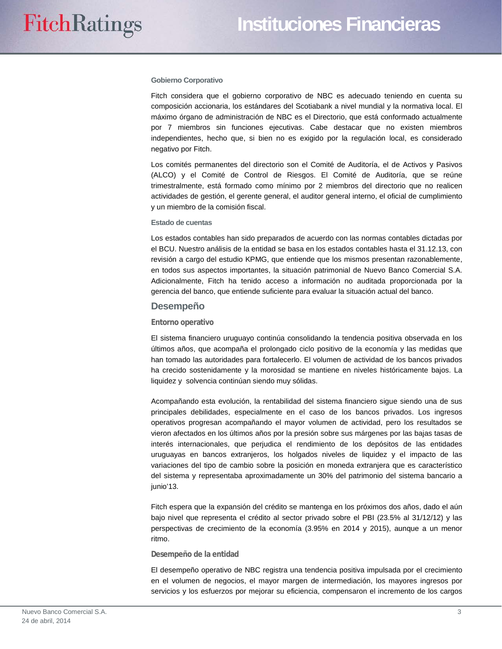### **Gobierno Corporativo**

Fitch considera que el gobierno corporativo de NBC es adecuado teniendo en cuenta su composición accionaria, los estándares del Scotiabank a nivel mundial y la normativa local. El máximo órgano de administración de NBC es el Directorio, que está conformado actualmente por 7 miembros sin funciones ejecutivas. Cabe destacar que no existen miembros independientes, hecho que, si bien no es exigido por la regulación local, es considerado negativo por Fitch.

Los comités permanentes del directorio son el Comité de Auditoría, el de Activos y Pasivos (ALCO) y el Comité de Control de Riesgos. El Comité de Auditoría, que se reúne trimestralmente, está formado como mínimo por 2 miembros del directorio que no realicen actividades de gestión, el gerente general, el auditor general interno, el oficial de cumplimiento y un miembro de la comisión fiscal.

#### **Estado de cuentas**

Los estados contables han sido preparados de acuerdo con las normas contables dictadas por el BCU. Nuestro análisis de la entidad se basa en los estados contables hasta el 31.12.13, con revisión a cargo del estudio KPMG, que entiende que los mismos presentan razonablemente, en todos sus aspectos importantes, la situación patrimonial de Nuevo Banco Comercial S.A. Adicionalmente, Fitch ha tenido acceso a información no auditada proporcionada por la gerencia del banco, que entiende suficiente para evaluar la situación actual del banco.

## **Desempeño**

## **Entorno operativo**

El sistema financiero uruguayo continúa consolidando la tendencia positiva observada en los últimos años, que acompaña el prolongado ciclo positivo de la economía y las medidas que han tomado las autoridades para fortalecerlo. El volumen de actividad de los bancos privados ha crecido sostenidamente y la morosidad se mantiene en niveles históricamente bajos. La liquidez y solvencia continúan siendo muy sólidas.

Acompañando esta evolución, la rentabilidad del sistema financiero sigue siendo una de sus principales debilidades, especialmente en el caso de los bancos privados. Los ingresos operativos progresan acompañando el mayor volumen de actividad, pero los resultados se vieron afectados en los últimos años por la presión sobre sus márgenes por las bajas tasas de interés internacionales, que perjudica el rendimiento de los depósitos de las entidades uruguayas en bancos extranjeros, los holgados niveles de liquidez y el impacto de las variaciones del tipo de cambio sobre la posición en moneda extranjera que es característico del sistema y representaba aproximadamente un 30% del patrimonio del sistema bancario a junio'13.

Fitch espera que la expansión del crédito se mantenga en los próximos dos años, dado el aún bajo nivel que representa el crédito al sector privado sobre el PBI (23.5% al 31/12/12) y las perspectivas de crecimiento de la economía (3.95% en 2014 y 2015), aunque a un menor ritmo.

#### **Desempeño de la entidad**

El desempeño operativo de NBC registra una tendencia positiva impulsada por el crecimiento en el volumen de negocios, el mayor margen de intermediación, los mayores ingresos por servicios y los esfuerzos por mejorar su eficiencia, compensaron el incremento de los cargos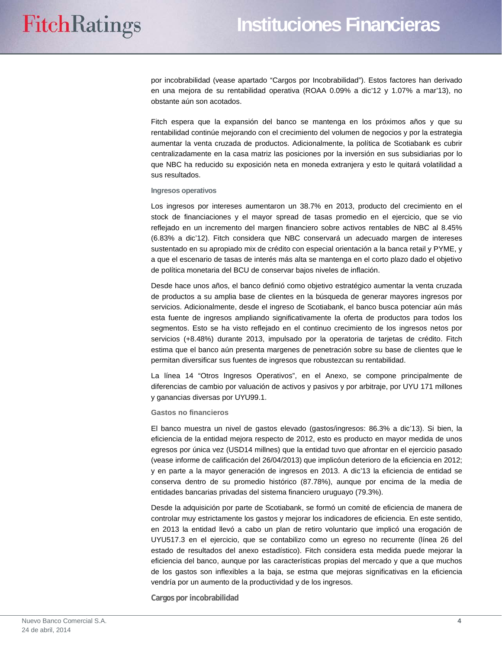por incobrabilidad (vease apartado "Cargos por Incobrabilidad"). Estos factores han derivado en una mejora de su rentabilidad operativa (ROAA 0.09% a dic'12 y 1.07% a mar'13), no obstante aún son acotados.

Fitch espera que la expansión del banco se mantenga en los próximos años y que su rentabilidad continúe mejorando con el crecimiento del volumen de negocios y por la estrategia aumentar la venta cruzada de productos. Adicionalmente, la política de Scotiabank es cubrir centralizadamente en la casa matriz las posiciones por la inversión en sus subsidiarias por lo que NBC ha reducido su exposición neta en moneda extranjera y esto le quitará volatilidad a sus resultados.

#### **Ingresos operativos**

Los ingresos por intereses aumentaron un 38.7% en 2013, producto del crecimiento en el stock de financiaciones y el mayor spread de tasas promedio en el ejercicio, que se vio reflejado en un incremento del margen financiero sobre activos rentables de NBC al 8.45% (6.83% a dic'12). Fitch considera que NBC conservará un adecuado margen de intereses sustentado en su apropiado mix de crédito con especial orientación a la banca retail y PYME, y a que el escenario de tasas de interés más alta se mantenga en el corto plazo dado el objetivo de política monetaria del BCU de conservar bajos niveles de inflación.

Desde hace unos años, el banco definió como objetivo estratégico aumentar la venta cruzada de productos a su amplia base de clientes en la búsqueda de generar mayores ingresos por servicios. Adicionalmente, desde el ingreso de Scotiabank, el banco busca potenciar aún más esta fuente de ingresos ampliando significativamente la oferta de productos para todos los segmentos. Esto se ha visto reflejado en el continuo crecimiento de los ingresos netos por servicios (+8.48%) durante 2013, impulsado por la operatoria de tarjetas de crédito. Fitch estima que el banco aún presenta margenes de penetración sobre su base de clientes que le permitan diversificar sus fuentes de ingresos que robustezcan su rentabilidad.

La línea 14 "Otros Ingresos Operativos", en el Anexo, se compone principalmente de diferencias de cambio por valuación de activos y pasivos y por arbitraje, por UYU 171 millones y ganancias diversas por UYU99.1.

#### **Gastos no financieros**

El banco muestra un nivel de gastos elevado (gastos/ingresos: 86.3% a dic'13). Si bien, la eficiencia de la entidad mejora respecto de 2012, esto es producto en mayor medida de unos egresos por única vez (USD14 millnes) que la entidad tuvo que afrontar en el ejercicio pasado (vease informe de calificación del 26/04/2013) que implicóun deterioro de la eficiencia en 2012; y en parte a la mayor generación de ingresos en 2013. A dic'13 la eficiencia de entidad se conserva dentro de su promedio histórico (87.78%), aunque por encima de la media de entidades bancarias privadas del sistema financiero uruguayo (79.3%).

Desde la adquisición por parte de Scotiabank, se formó un comité de eficiencia de manera de controlar muy estrictamente los gastos y mejorar los indicadores de eficiencia. En este sentido, en 2013 la entidad llevó a cabo un plan de retiro voluntario que implicó una erogación de UYU517.3 en el ejercicio, que se contabilizo como un egreso no recurrente (línea 26 del estado de resultados del anexo estadístico). Fitch considera esta medida puede mejorar la eficiencia del banco, aunque por las características propias del mercado y que a que muchos de los gastos son inflexibles a la baja, se estma que mejoras significativas en la eficiencia vendría por un aumento de la productividad y de los ingresos.

**Cargos por incobrabilidad**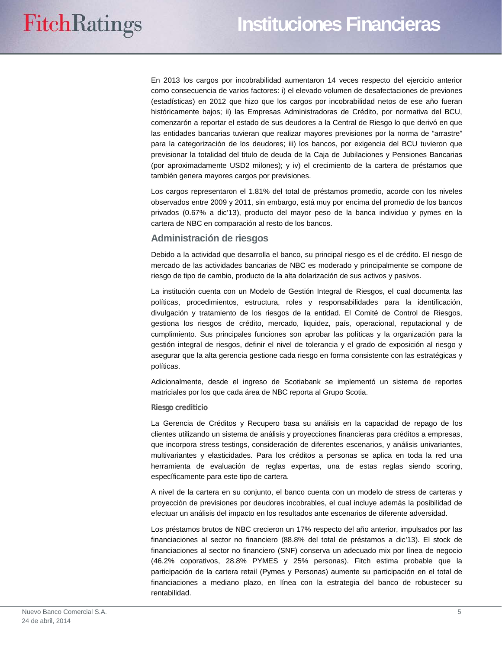En 2013 los cargos por incobrabilidad aumentaron 14 veces respecto del ejercicio anterior como consecuencia de varios factores: i) el elevado volumen de desafectaciones de previones (estadísticas) en 2012 que hizo que los cargos por incobrabilidad netos de ese año fueran históricamente bajos; ii) las Empresas Administradoras de Crédito, por normativa del BCU, comenzarón a reportar el estado de sus deudores a la Central de Riesgo lo que derivó en que las entidades bancarias tuvieran que realizar mayores previsiones por la norma de "arrastre" para la categorización de los deudores; iii) los bancos, por exigencia del BCU tuvieron que previsionar la totalidad del titulo de deuda de la Caja de Jubilaciones y Pensiones Bancarias (por aproximadamente USD2 milones); y iv) el crecimiento de la cartera de préstamos que también genera mayores cargos por previsiones.

Los cargos representaron el 1.81% del total de préstamos promedio, acorde con los niveles observados entre 2009 y 2011, sin embargo, está muy por encima del promedio de los bancos privados (0.67% a dic'13), producto del mayor peso de la banca individuo y pymes en la cartera de NBC en comparación al resto de los bancos.

## **Administración de riesgos**

Debido a la actividad que desarrolla el banco, su principal riesgo es el de crédito. El riesgo de mercado de las actividades bancarias de NBC es moderado y principalmente se compone de riesgo de tipo de cambio, producto de la alta dolarización de sus activos y pasivos.

La institución cuenta con un Modelo de Gestión Integral de Riesgos, el cual documenta las políticas, procedimientos, estructura, roles y responsabilidades para la identificación, divulgación y tratamiento de los riesgos de la entidad. El Comité de Control de Riesgos, gestiona los riesgos de crédito, mercado, liquidez, país, operacional, reputacional y de cumplimiento. Sus principales funciones son aprobar las políticas y la organización para la gestión integral de riesgos, definir el nivel de tolerancia y el grado de exposición al riesgo y asegurar que la alta gerencia gestione cada riesgo en forma consistente con las estratégicas y políticas.

Adicionalmente, desde el ingreso de Scotiabank se implementó un sistema de reportes matriciales por los que cada área de NBC reporta al Grupo Scotia.

## **Riesgo crediticio**

La Gerencia de Créditos y Recupero basa su análisis en la capacidad de repago de los clientes utilizando un sistema de análisis y proyecciones financieras para créditos a empresas, que incorpora stress testings, consideración de diferentes escenarios, y análisis univariantes, multivariantes y elasticidades. Para los créditos a personas se aplica en toda la red una herramienta de evaluación de reglas expertas, una de estas reglas siendo scoring, específicamente para este tipo de cartera.

A nivel de la cartera en su conjunto, el banco cuenta con un modelo de stress de carteras y proyección de previsiones por deudores incobrables, el cual incluye además la posibilidad de efectuar un análisis del impacto en los resultados ante escenarios de diferente adversidad.

Los préstamos brutos de NBC crecieron un 17% respecto del año anterior, impulsados por las financiaciones al sector no financiero (88.8% del total de préstamos a dic'13). El stock de financiaciones al sector no financiero (SNF) conserva un adecuado mix por línea de negocio (46.2% coporativos, 28.8% PYMES y 25% personas). Fitch estima probable que la participación de la cartera retail (Pymes y Personas) aumente su participación en el total de financiaciones a mediano plazo, en línea con la estrategia del banco de robustecer su rentabilidad.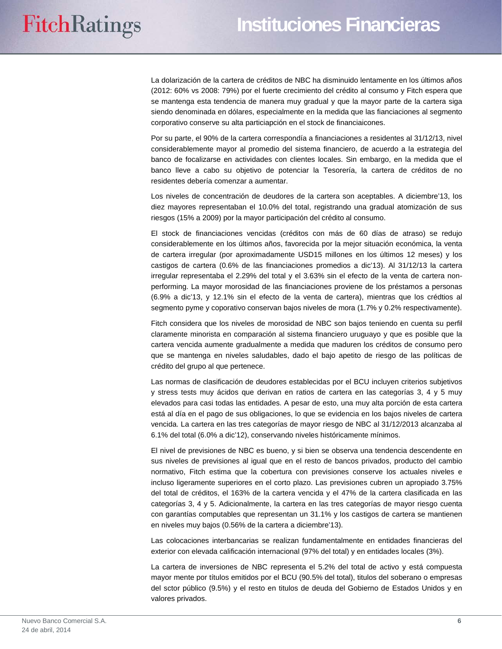La dolarización de la cartera de créditos de NBC ha disminuido lentamente en los últimos años (2012: 60% vs 2008: 79%) por el fuerte crecimiento del crédito al consumo y Fitch espera que se mantenga esta tendencia de manera muy gradual y que la mayor parte de la cartera siga siendo denominada en dólares, especialmente en la medida que las fianciaciones al segmento corporativo conserve su alta particiapción en el stock de financiaicones.

Por su parte, el 90% de la cartera correspondía a financiaciones a residentes al 31/12/13, nivel considerablemente mayor al promedio del sistema financiero, de acuerdo a la estrategia del banco de focalizarse en actividades con clientes locales. Sin embargo, en la medida que el banco lleve a cabo su objetivo de potenciar la Tesorería, la cartera de créditos de no residentes debería comenzar a aumentar.

Los niveles de concentración de deudores de la cartera son aceptables. A diciembre'13, los diez mayores representaban el 10.0% del total, registrando una gradual atomización de sus riesgos (15% a 2009) por la mayor participación del crédito al consumo.

El stock de financiaciones vencidas (créditos con más de 60 días de atraso) se redujo considerablemente en los últimos años, favorecida por la mejor situación económica, la venta de cartera irregular (por aproximadamente USD15 millones en los últimos 12 meses) y los castigos de cartera (0.6% de las financiaciones promedios a dic'13). Al 31/12/13 la cartera irregular representaba el 2.29% del total y el 3.63% sin el efecto de la venta de cartera nonperforming. La mayor morosidad de las financiaciones proviene de los préstamos a personas (6.9% a dic'13, y 12.1% sin el efecto de la venta de cartera), mientras que los crédtios al segmento pyme y coporativo conservan bajos niveles de mora (1.7% y 0.2% respectivamente).

Fitch considera que los niveles de morosidad de NBC son bajos teniendo en cuenta su perfil claramente minorista en comparación al sistema financiero uruguayo y que es posible que la cartera vencida aumente gradualmente a medida que maduren los créditos de consumo pero que se mantenga en niveles saludables, dado el bajo apetito de riesgo de las políticas de crédito del grupo al que pertenece.

Las normas de clasificación de deudores establecidas por el BCU incluyen criterios subjetivos y stress tests muy ácidos que derivan en ratios de cartera en las categorías 3, 4 y 5 muy elevados para casi todas las entidades. A pesar de esto, una muy alta porción de esta cartera está al día en el pago de sus obligaciones, lo que se evidencia en los bajos niveles de cartera vencida. La cartera en las tres categorías de mayor riesgo de NBC al 31/12/2013 alcanzaba al 6.1% del total (6.0% a dic'12), conservando niveles históricamente mínimos.

El nivel de previsiones de NBC es bueno, y si bien se observa una tendencia descendente en sus niveles de previsiones al igual que en el resto de bancos privados, producto del cambio normativo, Fitch estima que la cobertura con previsiones conserve los actuales niveles e incluso ligeramente superiores en el corto plazo. Las previsiones cubren un apropiado 3.75% del total de créditos, el 163% de la cartera vencida y el 47% de la cartera clasificada en las categorías 3, 4 y 5. Adicionalmente, la cartera en las tres categorías de mayor riesgo cuenta con garantías computables que representan un 31.1% y los castigos de cartera se mantienen en niveles muy bajos (0.56% de la cartera a diciembre'13).

Las colocaciones interbancarias se realizan fundamentalmente en entidades financieras del exterior con elevada calificación internacional (97% del total) y en entidades locales (3%).

La cartera de inversiones de NBC representa el 5.2% del total de activo y está compuesta mayor mente por títulos emitidos por el BCU (90.5% del total), titulos del soberano o empresas del sctor público (9.5%) y el resto en titulos de deuda del Gobierno de Estados Unidos y en valores privados.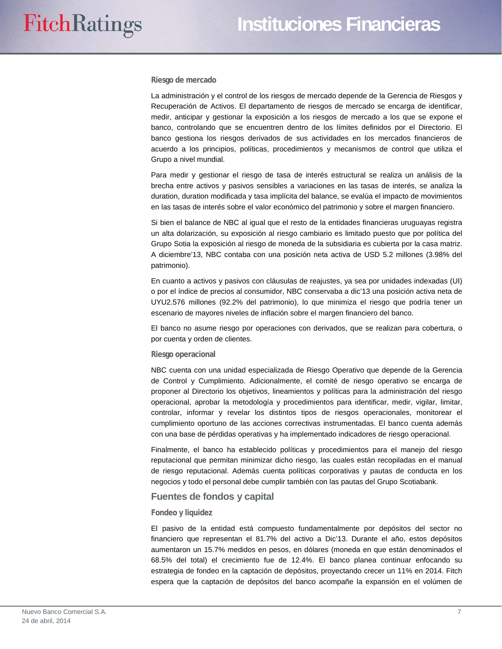## **Riesgo de mercado**

La administración y el control de los riesgos de mercado depende de la Gerencia de Riesgos y Recuperación de Activos. El departamento de riesgos de mercado se encarga de identificar, medir, anticipar y gestionar la exposición a los riesgos de mercado a los que se expone el banco, controlando que se encuentren dentro de los límites definidos por el Directorio. El banco gestiona los riesgos derivados de sus actividades en los mercados financieros de acuerdo a los principios, políticas, procedimientos y mecanismos de control que utiliza el Grupo a nivel mundial.

Para medir y gestionar el riesgo de tasa de interés estructural se realiza un análisis de la brecha entre activos y pasivos sensibles a variaciones en las tasas de interés, se analiza la duration, duration modificada y tasa implícita del balance, se evalúa el impacto de movimientos en las tasas de interés sobre el valor económico del patrimonio y sobre el margen financiero.

Si bien el balance de NBC al igual que el resto de la entidades financieras uruguayas registra un alta dolarización, su exposición al riesgo cambiario es limitado puesto que por política del Grupo Sotia la exposición al riesgo de moneda de la subsidiaria es cubierta por la casa matriz. A diciembre'13, NBC contaba con una posición neta activa de USD 5.2 millones (3.98% del patrimonio).

En cuanto a activos y pasivos con cláusulas de reajustes, ya sea por unidades indexadas (UI) o por el índice de precios al consumidor, NBC conservaba a dic'13 una posición activa neta de UYU2.576 millones (92.2% del patrimonio), lo que minimiza el riesgo que podría tener un escenario de mayores niveles de inflación sobre el margen financiero del banco.

El banco no asume riesgo por operaciones con derivados, que se realizan para cobertura, o por cuenta y orden de clientes.

#### **Riesgo operacional**

NBC cuenta con una unidad especializada de Riesgo Operativo que depende de la Gerencia de Control y Cumplimiento. Adicionalmente, el comité de riesgo operativo se encarga de proponer al Directorio los objetivos, lineamientos y políticas para la administración del riesgo operacional, aprobar la metodología y procedimientos para identificar, medir, vigilar, limitar, controlar, informar y revelar los distintos tipos de riesgos operacionales, monitorear el cumplimiento oportuno de las acciones correctivas instrumentadas. El banco cuenta además con una base de pérdidas operativas y ha implementado indicadores de riesgo operacional.

Finalmente, el banco ha establecido políticas y procedimientos para el manejo del riesgo reputacional que permitan minimizar dicho riesgo, las cuales están recopiladas en el manual de riesgo reputacional. Además cuenta políticas corporativas y pautas de conducta en los negocios y todo el personal debe cumplir también con las pautas del Grupo Scotiabank.

## **Fuentes de fondos y capital**

## **Fondeo y liquidez**

El pasivo de la entidad está compuesto fundamentalmente por depósitos del sector no financiero que representan el 81.7% del activo a Dic'13. Durante el año, estos depósitos aumentaron un 15.7% medidos en pesos, en dólares (moneda en que están denominados el 68.5% del total) el crecimiento fue de 12.4%. El banco planea continuar enfocando su estrategia de fondeo en la captación de depósitos, proyectando crecer un 11% en 2014. Fitch espera que la captación de depósitos del banco acompañe la expansión en el volúmen de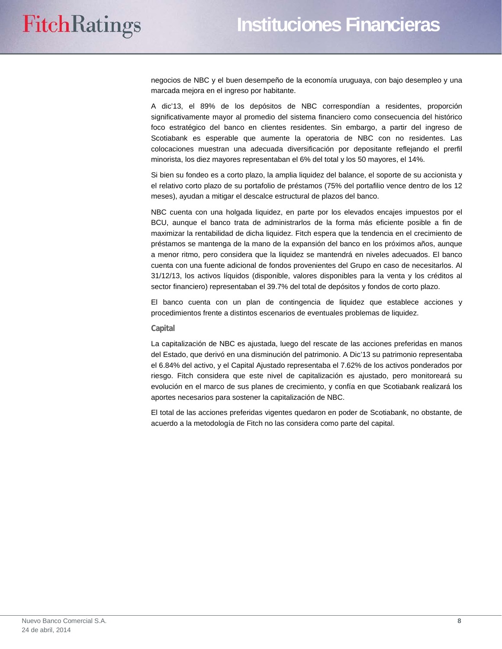negocios de NBC y el buen desempeño de la economía uruguaya, con bajo desempleo y una marcada mejora en el ingreso por habitante.

A dic'13, el 89% de los depósitos de NBC correspondían a residentes, proporción significativamente mayor al promedio del sistema financiero como consecuencia del histórico foco estratégico del banco en clientes residentes. Sin embargo, a partir del ingreso de Scotiabank es esperable que aumente la operatoria de NBC con no residentes. Las colocaciones muestran una adecuada diversificación por depositante reflejando el prerfil minorista, los diez mayores representaban el 6% del total y los 50 mayores, el 14%.

Si bien su fondeo es a corto plazo, la amplia liquidez del balance, el soporte de su accionista y el relativo corto plazo de su portafolio de préstamos (75% del portafilio vence dentro de los 12 meses), ayudan a mitigar el descalce estructural de plazos del banco.

NBC cuenta con una holgada liquidez, en parte por los elevados encajes impuestos por el BCU, aunque el banco trata de administrarlos de la forma más eficiente posible a fin de maximizar la rentabilidad de dicha liquidez. Fitch espera que la tendencia en el crecimiento de préstamos se mantenga de la mano de la expansión del banco en los próximos años, aunque a menor ritmo, pero considera que la liquidez se mantendrá en niveles adecuados. El banco cuenta con una fuente adicional de fondos provenientes del Grupo en caso de necesitarlos. Al 31/12/13, los activos líquidos (disponible, valores disponibles para la venta y los créditos al sector financiero) representaban el 39.7% del total de depósitos y fondos de corto plazo.

El banco cuenta con un plan de contingencia de liquidez que establece acciones y procedimientos frente a distintos escenarios de eventuales problemas de liquidez.

## **Capital**

La capitalización de NBC es ajustada, luego del rescate de las acciones preferidas en manos del Estado, que derivó en una disminución del patrimonio. A Dic'13 su patrimonio representaba el 6.84% del activo, y el Capital Ajustado representaba el 7.62% de los activos ponderados por riesgo. Fitch considera que este nivel de capitalización es ajustado, pero monitoreará su evolución en el marco de sus planes de crecimiento, y confía en que Scotiabank realizará los aportes necesarios para sostener la capitalización de NBC.

El total de las acciones preferidas vigentes quedaron en poder de Scotiabank, no obstante, de acuerdo a la metodología de Fitch no las considera como parte del capital.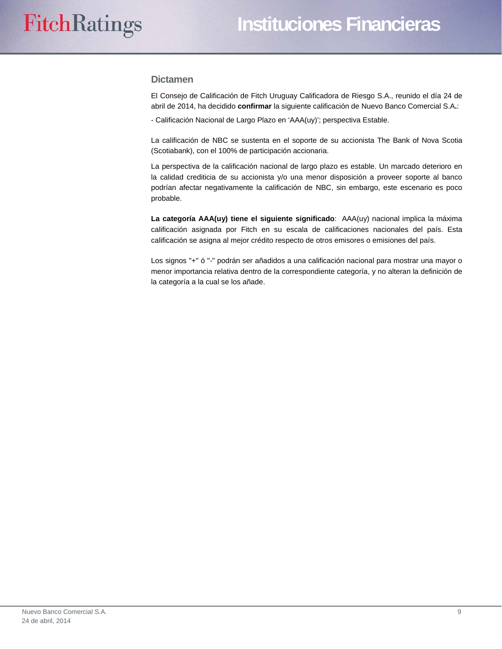## **Dictamen**

El Consejo de Calificación de Fitch Uruguay Calificadora de Riesgo S.A., reunido el día 24 de abril de 2014, ha decidido **confirmar** la siguiente calificación de Nuevo Banco Comercial S.A**.**:

- Calificación Nacional de Largo Plazo en 'AAA(uy)'; perspectiva Estable.

La calificación de NBC se sustenta en el soporte de su accionista The Bank of Nova Scotia (Scotiabank), con el 100% de participación accionaria.

La perspectiva de la calificación nacional de largo plazo es estable. Un marcado deterioro en la calidad crediticia de su accionista y/o una menor disposición a proveer soporte al banco podrían afectar negativamente la calificación de NBC, sin embargo, este escenario es poco probable.

**La categoría AAA(uy) tiene el siguiente significado**: AAA(uy) nacional implica la máxima calificación asignada por Fitch en su escala de calificaciones nacionales del país. Esta calificación se asigna al mejor crédito respecto de otros emisores o emisiones del país.

Los signos "+" ó "-" podrán ser añadidos a una calificación nacional para mostrar una mayor o menor importancia relativa dentro de la correspondiente categoría, y no alteran la definición de la categoría a la cual se los añade.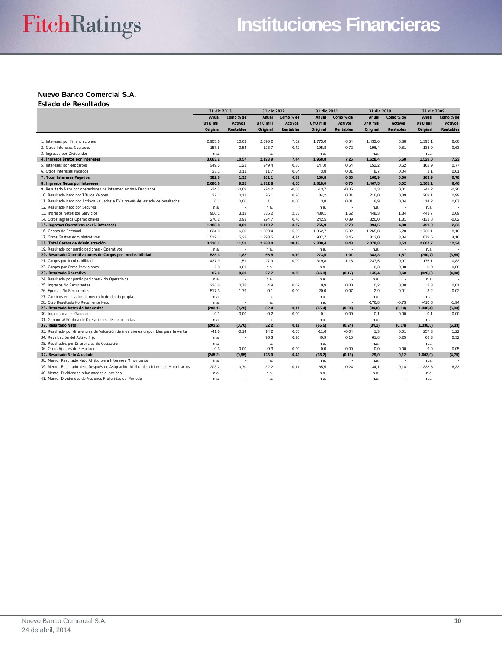## **Nuevo Banco Comercial S.A.**

**Estado de Resultados**

|                                                                                     | 31 dic 2013 |                          | 31 dic 2012 |                          | 31 dic 2011 |                          | 31 dic 2010 |                          | 31 dic 2009 |                |
|-------------------------------------------------------------------------------------|-------------|--------------------------|-------------|--------------------------|-------------|--------------------------|-------------|--------------------------|-------------|----------------|
|                                                                                     | Anual       | Como % de                | Anual       | Como % de                | Anual       | Como % de                | Anual       | Como % de                | Anual       | Como % de      |
|                                                                                     | UYU mill    | <b>Activos</b>           | UYU mill    | <b>Activos</b>           | UYU mill    | <b>Activos</b>           | UYU mill    | <b>Activos</b>           | UYU mill    | <b>Activos</b> |
|                                                                                     | Original    | Rentables                | Original    | Rentables                | Original    | Rentables                | Original    | Rentables                | Original    | Rentables      |
|                                                                                     |             |                          |             |                          |             |                          |             |                          |             |                |
| 1. Intereses por Financiaciones                                                     | 2.905,6     | 10,03                    | 2.070,2     | 7,02                     | 1.773,0     | 6,54                     | 1.432,0     | 5,88                     | 1.395,1     | 6,60           |
| 2. Otros Intereses Cobrados                                                         | 157,5       | 0,54                     | 123,7       | 0,42                     | 195,8       | 0,72                     | 196,4       | 0,81                     | 133,9       | 0,63           |
| 3. Ingresos por Dividendos                                                          | n.a.        | ÷,                       | n.a.        | ÷.                       | n.a.        | $\sim$                   | n.a.        | $\overline{\phantom{a}}$ | n.a.        |                |
| 4. Ingresos Brutos por Intereses                                                    | 3.063.2     | 10.57                    | 2.193.9     | 7.44                     | 1.968,8     | 7.26                     | 1.628.4     | 6,68                     | 1.529.0     | 7,23           |
| 5. Intereses por depósitos                                                          | 349,5       | 1,21                     | 249,4       | 0,85                     | 147,0       | 0,54                     | 152,2       | 0,62                     | 162,9       | 0,77           |
| 6. Otros Intereses Pagados                                                          | 33,1        | 0, 11                    | 11,7        | 0,04                     | 3,8         | 0,01                     | 8,7         | 0,04                     | 1,1         | 0,01           |
| 7. Total Intereses Pagados                                                          | 382,6       | 1,32                     | 261,1       | 0,89                     | 150,8       | 0,56                     | 160,9       | 0,66                     | 163.9       | 0,78           |
| 8. Ingresos Netos por Intereses                                                     | 2.680,6     | 9.25                     | 1.932,8     | 6.55                     | 1.818,0     | 6.70                     | 1.467,5     | 6,02                     | 1.365,1     | 6,46           |
| 9. Resultado Neto por operaciones de Intermediación y Derivados                     | $-24,7$     | $-0,09$                  | $-24,2$     | $-0.08$                  | $-13,7$     | $-0,05$                  | 1,3         | 0,01                     | $-41,2$     | $-0,20$        |
| 10. Resultado Neto por Títulos Valores                                              | 32,1        | 0, 11                    | 76,1        | 0,26                     | 84,2        | 0,31                     | 216,0       | 0,89                     | 209,1       | 0,99           |
| 11. Resultado Neto por Activos valuados a FV a través del estado de resultados      | 0.1         | 0,00                     | $-1,1$      | 0,00                     | 3,8         | 0,01                     | 8,9         | 0,04                     | 14,2        | 0,07           |
| 12. Resultado Neto por Seguros                                                      | n.a.        | $\ddot{\phantom{0}}$     | n.a.        | ÷.                       | n.a.        | ÷,                       | n.a.        | $\ddot{\phantom{0}}$     | n.a.        |                |
| 13. Ingresos Netos por Servicios                                                    | 906,1       | 3,13                     | 835.2       | 2,83                     | 439,1       | 1,62                     | 448.3       | 1,84                     | 441.7       | 2,09           |
| 14. Otros Ingresos Operacionales                                                    | 270,2       | 0,93                     | 224,7       | 0,76                     | 242,5       | 0,89                     | 320,0       | 1,31                     | $-131,8$    | $-0.62$        |
| 15. Ingresos Operativos (excl. intereses)                                           | 1.183,8     | 4,09                     | 1.110,7     | 3,77                     | 755,9       | 2,79                     | 994,5       | 4,08                     | 491,9       | 2,33           |
| 16. Gastos de Personal                                                              | 1.824,0     | 6,30                     | 1.589,4     | 5,39                     | 1.362,7     | 5,02                     | 1.265,8     | 5,20                     | 1.728,1     | 8,18           |
| 17. Otros Gastos Administrativos                                                    | 1.512,1     | 5,22                     | 1.398,5     | 4,74                     | 937,7       | 3,46                     | 813,0       | 3,34                     | 879,6       | 4,16           |
| 18. Total Gastos de Administración                                                  | 3.336,1     | 11,52                    | 2.988,0     | 10,13                    | 2.300,4     | 8,48                     | 2.078,8     | 8,53                     | 2.607,7     | 12,34          |
| 19. Resultado por participaciones - Operativos                                      | n.a.        | $\blacksquare$           | n.a.        | $\sim$                   | n.a.        | $\overline{\phantom{a}}$ | n.a.        | $\sim$                   | n.a.        |                |
| 20. Resultado Operativo antes de Cargos por Incobrabilidad                          | 528,3       | 1,82                     | 55,5        | 0.19                     | 273,5       | 1,01                     | 383,3       | 1,57                     | (750, 7)    | (3, 55)        |
| 21. Cargos por Incobrabilidad                                                       | 437.9       | 1,51                     | 27.9        | 0.09                     | 319,8       | 1,18                     | 237.5       | 0.97                     | 176.1       | 0,83           |
| 22. Cargos por Otras Previsiones                                                    | 2.8         | 0,01                     | n.a.        | $\overline{\phantom{a}}$ | n.a.        | $\overline{\phantom{a}}$ | 0.3         | 0,00                     | 0.0         | 0.00           |
| 23. Resultado Operativo                                                             | 87,6        | 0, 30                    | 27,7        | 0,09                     | (46, 3)     | (0, 17)                  | 145,4       | 0,60                     | (926, 8)    | (4, 38)        |
| 24. Resultado por participaciones - No Operativos                                   | n.a.        | $\overline{\phantom{a}}$ | n.a.        | $\sim$                   | n.a.        | $\overline{\phantom{a}}$ | n.a.        | $\overline{\phantom{a}}$ | n.a.        |                |
| 25. Ingresos No Recurrentes                                                         | 226.6       | 0,78                     | 4,9         | 0.02                     | 0,9         | 0,00                     | 0,2         | 0,00                     | 2,3         | 0,01           |
| 26. Egresos No Recurrentes                                                          | 517.3       | 1.79                     | 0.1         | 0.00                     | 20,0        | 0.07                     | 2.9         | 0,01                     | 3.2         | 0,02           |
| 27. Cambios en el valor de mercado de deuda propia                                  | n.a.        | $\overline{\phantom{a}}$ | n.a.        | $\overline{\phantom{a}}$ | n.a.        | ÷.                       | n.a.        | ÷.                       | n.a.        |                |
| 28. Otro Resultado No Recurrente Neto                                               | n.a.        | $\sim$                   | n.a.        | $\sim$                   | n.a.        | ÷.                       | $-176.8$    | $-0,73$                  | $-410.6$    | $-1.94$        |
| 29. Resultado Antes de Impuestos                                                    | (203, 1)    | (0, 70)                  | 32,4        | 0,11                     | (65, 4)     | (0, 24)                  | (34, 0)     | (0, 14)                  | (1.338, 4)  | (6, 33)        |
| 30. Impuesto a las Ganancias                                                        | 0, 1        | 0,00                     | 0,2         | 0,00                     | 0, 1        | 0,00                     | 0, 1        | 0,00                     | 0, 1        | 0,00           |
| 31. Ganancia/Pérdida de Operaciones discontinuadas                                  | n.a.        |                          | n.a.        |                          | n.a.        | $\overline{\phantom{a}}$ | n.a.        | $\overline{\phantom{a}}$ | n.a.        |                |
| 32. Resultado Neto                                                                  | (203, 2)    | (0, 70)                  | 32,2        | 0,11                     | (65, 5)     | (0, 24)                  | (34,1)      | (0, 14)                  | (1.338, 5)  | (6, 33)        |
| 33. Resultado por diferencias de Valuación de inversiones disponibles para la venta | $-41,6$     | $-0, 14$                 | 14,2        | 0,05                     | $-11,6$     | $-0,04$                  | 1,3         | 0,01                     | 257,3       | 1,22           |
| 34. Revaluación del Activo Fijo                                                     | n.a.        | $\overline{\phantom{a}}$ | 76,3        | 0,26                     | 40,9        | 0, 15                    | 61,8        | 0,25                     | 68,3        | 0,32           |
| 35. Resultados por Diferencias de Cotización                                        | n.a.        | $\overline{\phantom{a}}$ | n.a.        |                          | n.a.        | $\overline{\phantom{a}}$ | n.a.        | $\sim$                   | n.a.        |                |
| 36. Otros Ajustes de Resultados                                                     | $-0,3$      | 0,00                     | 0,3         | 0,00                     | 0,0         | 0,00                     | 0,0         | 0,00                     | 9,9         | 0,05           |
| 37. Resultado Neto Ajustado                                                         | (245, 2)    | (0, 85)                  | 123,0       | 0.42                     | (36, 2)     | (0, 13)                  | 29.0        | 0,12                     | (1.003, 0)  | (4, 75)        |
| 38. Memo: Resultado Neto Atribuible a Intereses Minoritarios                        | n.a.        | $\blacksquare$           | n.a.        | $\overline{\phantom{a}}$ | n.a.        | $\overline{\phantom{a}}$ | n.a.        | $\sim$                   | n.a.        |                |
| 39. Memo: Resultado Neto Después de Asignación Atribuible a Intereses Minoritarios  | $-203.2$    | $-0.70$                  | 32.2        | 0.11                     | $-65,5$     | $-0.24$                  | $-34,1$     | $-0, 14$                 | $-1.338.5$  | $-6,33$        |
| 40. Memo: Dividendos relacionados al período                                        | n.a.        |                          | n.a.        |                          | n.a.        |                          | n.a.        |                          | n.a.        |                |
| 41. Memo: Dividendos de Acciones Preferidas del Período                             | n.a.        |                          | n.a.        |                          | n.a.        | $\tilde{\phantom{a}}$    | n.a.        |                          | n.a.        |                |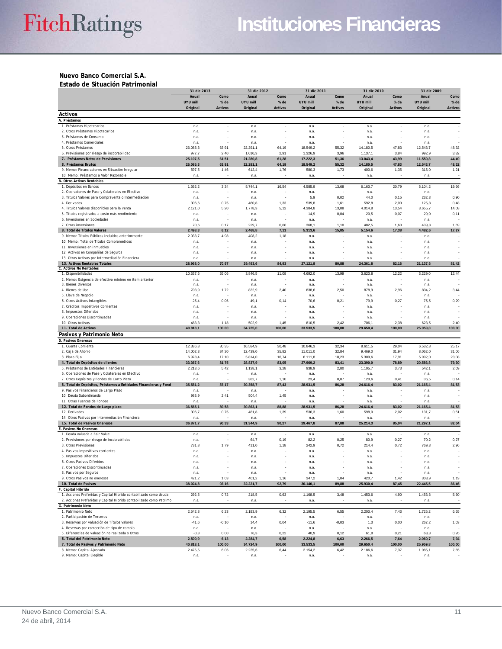**Nuevo Banco Comercial S.A.**

|  | Estado de Situación Patrimonial |
|--|---------------------------------|
|  |                                 |

|                                                                                                  | 31 dic 2013          |                          | 31 dic 2012          |                          | 31 dic 2011          |                          |                      | 31 dic 2010     |                      | 31 dic 2009     |
|--------------------------------------------------------------------------------------------------|----------------------|--------------------------|----------------------|--------------------------|----------------------|--------------------------|----------------------|-----------------|----------------------|-----------------|
|                                                                                                  | Anual                | Como                     | Anual                | Como                     | Anual                | Como                     | Anual                | Como            | Anual                | Como            |
|                                                                                                  | UYU mill<br>Original | % de<br>Activos          | UYU mill<br>Original | % de<br>Activos          | UYU mill<br>Original | % de<br>Activos          | UYU mill<br>Original | % de<br>Activos | UYU mill<br>Original | % de<br>Activos |
| Activos                                                                                          |                      |                          |                      |                          |                      |                          |                      |                 |                      |                 |
| A. Préstamos                                                                                     |                      |                          |                      |                          |                      |                          |                      |                 |                      |                 |
| 1. Préstamos Hipotecarios                                                                        | n.a.                 |                          | n.a.                 |                          | n.a.                 |                          | n.a.                 |                 | n.a.                 |                 |
| 2. Otros Préstamos Hipotecarios                                                                  | n.a.                 |                          | n.a.                 |                          | n.a.                 |                          | n.a                  |                 | n.a.                 |                 |
| 3. Préstamos de Consumo                                                                          | n.a.                 |                          | n.a.                 |                          | n.a.                 |                          | n.a.                 |                 | n.a.                 |                 |
| 4. Préstamos Comerciales                                                                         | n.a.                 |                          | n.a.                 |                          | n.a.                 |                          | n.a.                 |                 | n.a.                 |                 |
| 5. Otros Préstamos<br>6. Previsiones por riesgo de incobrabilidad                                | 26.085,3<br>977,7    | 63,91<br>2,40            | 22.291,1<br>1.010,3  | 64,19<br>2,91            | 18.549,2<br>1.326,9  | 55,32<br>3.96            | 14.180,5<br>1.137,1  | 47,83<br>3.84   | 12.543,7<br>992,9    | 48,32<br>3,82   |
| 7. Préstamos Netos de Previsiones                                                                | 25.107,5             | 61,51                    | 21.280,8             | 61,28                    | 17.222,3             | 51,36                    | 13.043,4             | 43,99           | 11.550,8             | 44,49           |
| 8. Préstamos Brutos                                                                              | 26.085,3             | 63,91                    | 22.291,1             | 64,19                    | 18.549,2             | 55,32                    | 14.180,5             | 47,83           | 12.543,7             | 48,32           |
| 9. Memo: Financiaciones en Situación Irregular                                                   | 597,5                | 1,46                     | 612,4                | 1,76                     | 580,3                | 1,73                     | 400,6                | 1,35            | 315,0                | 1,21            |
| 10. Memo: Préstamos a Valor Razonable                                                            | n.a.                 |                          | n.a.                 |                          | n.a.                 |                          | n.a.                 |                 | n.a.                 |                 |
| <b>B. Otros Activos Rentables</b>                                                                |                      |                          |                      |                          |                      |                          |                      |                 |                      |                 |
| 1. Depósitos en Bancos<br>2. Operaciones de Pase y Colaterales en Efectivo                       | 1.362,2<br>n.a.      | 3,34                     | 5.744,1<br>n.a.      | 16,54                    | 4.585,9<br>n.a.      | 13,68                    | 6.163,7<br>n.a.      | 20,79           | 5.104,2<br>n.a.      | 19,66           |
| 3. Títulos Valores para Compraventa o Intermediación                                             | n.a.                 | ٠,                       | n.a.                 |                          | 5,9                  | 0,02                     | 44,0                 | 0, 15           | 232,3                | 0,90            |
| 4. Derivados                                                                                     | 306,6                | 0,75                     | 460,8                | 1,33                     | 539,8                | 1,61                     | 592,8                | 2,00            | 125,8                | 0,48            |
| 4. Títulos Valores disponibles para la venta                                                     | 2.121,0              | 5,20                     | 1.778,3              | 5,12                     | 4.384,8              | 13,08                    | 4.014,8              | 13,54           | 3.655,7              | 14,08           |
| 5. Títulos registrados a costo más rendimiento                                                   | n.a.                 |                          | n.a.                 |                          | 14,9                 | 0,04                     | 20,5                 | 0,07            | 29,0                 | 0,11            |
| 6. Inversiones en Sociedades                                                                     | n.a.                 |                          | n.a.                 |                          | n.a.                 |                          | n.a.                 |                 | n.a.                 |                 |
| 7. Otras inversiones<br>8. Total de Títulos Valores                                              | 70,6<br>2.498,3      | 0, 17<br>6, 12           | 229,7<br>2.468,8     | 0,66<br>7,11             | 368,1<br>5.313,6     | 1,10<br>15,85            | 482,5<br>5.154,6     | 1,63<br>17,38   | 439,8<br>4.482,6     | 1,69<br>17,27   |
| 9. Memo: Títulos Públicos incluidos anteriormente                                                | 2.033,7              | 4,98                     | 408,2                | 1,18                     | n.a.                 |                          | n.a.                 |                 | n.a.                 |                 |
| 10. Memo: Total de Títulos Comprometidos                                                         | n.a.                 |                          | n.a.                 |                          | n.a.                 |                          | n.a.                 |                 | n.a.                 |                 |
| 11. Inversiones en inmuebles                                                                     | n.a.                 |                          | n.a.                 |                          | n.a.                 |                          | n.a                  |                 | n.a.                 |                 |
| 12. Activos en Compañías de Seguros                                                              | n.a.                 |                          | n.a.                 |                          | n.a.                 |                          | n.a.                 |                 | n.a.                 |                 |
| 13. Otros Activos por Intermediación Financiera                                                  | n.a.                 |                          | n.a                  |                          | n.a.                 |                          | n.a                  |                 | n.a.                 |                 |
| 13. Activos Rentables Totales<br>C. Activos No Rentables                                         | 28.968,0             | 70,97                    | 29.493,6             | 84,93                    | 27.121,8             | 80,88                    | 24.361,8             | 82,16           | 21.137,6             | 81,42           |
| 1. Disponibilidades                                                                              | 10.637,6             | 26,06                    | 3.846,5              | 11,08                    | 4.692,0              | 13,99                    | 3.623.8              | 12,22           | 3.229,0              | 12,44           |
| 2. Memo: Exigencia de efectivo mínimo en item anterior                                           | n.a.                 |                          | n.a.                 |                          | n.a.                 |                          | n.a.                 |                 | n.a.                 |                 |
| 3. Bienes Diversos                                                                               | n.a.                 |                          | n.a.                 |                          | n.a.                 |                          | n.a.                 |                 | n.a.                 |                 |
| 4. Bienes de Uso                                                                                 | 703,9                | 1,72                     | 832,9                | 2,40                     | 838,6                | 2,50                     | 878,9                | 2,96            | 894,2                | 3,44            |
| 5. Llave de Negocio<br>6. Otros Activos Intangibles                                              | n.a.<br>25,4         | 0,06                     | n.a.<br>49,1         | 0,14                     | n.a.<br>70,6         | 0,21                     | n.a.<br>79.9         | 0,27            | n.a.<br>75,5         | 0,29            |
| 7. Créditos Impositivos Corrientes                                                               | n.a.                 |                          | n.a.                 |                          | n.a.                 |                          | n.a.                 |                 | n.a.                 |                 |
| 8. Impuestos Diferidos                                                                           | n.a.                 |                          | n.a.                 |                          | n.a.                 |                          | n.a.                 |                 | n.a.                 |                 |
| 9. Operaciones Discontinuadas                                                                    | n.a.                 |                          | n.a.                 |                          | n.a.                 |                          | n.a.                 |                 | n.a.                 |                 |
| 10. Otros Activos                                                                                | 483,3                | 1,18                     | 502,9                | 1,45                     | 810,5                | 2,42                     | 706.1                | 2,38            | 623,5                | 2,40            |
| 11. Total de Activos                                                                             | 40.818,1             | 100,00                   | 34.725,0             | 100,00                   | 33.533,5             | 100,00                   | 29.650,4             | 100,00          | 25.959,8             | 100,00          |
| Pasivos y Patrimonio Neto<br>D. Pasivos Onerosos                                                 |                      |                          |                      |                          |                      |                          |                      |                 |                      |                 |
| 1. Cuenta Corriente                                                                              | 12.386,8             | 30,35                    | 10.584,9             | 30,48                    | 10.846,3             | 32,34                    | 8.611,5              | 29,04           | 6.532,8              | 25,17           |
| 2. Caja de Ahorro                                                                                | 14.002,3             | 34,30                    | 12.439,0             | 35,82                    | 11.011,0             | 32,84                    | 9.469,0              | 31,94           | 8.062,0              | 31,06           |
| 3. Plazo Fijo                                                                                    | 6.978,4              | 17,10                    | 5.814,0              | 16,74                    | 6.111,8              | 18,23                    | 5.309,6              | 17,91           | 5.992,0              | 23,08           |
| 4. Total de Depósitos de clientes                                                                | 33.367,6             | 81,75                    | 28.837,9             | 83,05                    | 27.969,2             | 83,41                    | 23.390,0             | 78,89           | 20.586,8             | 79,30           |
| 5. Préstamos de Entidades Financieras                                                            | 2.213,6              | 5,42                     | 1.138,1              | 3,28                     | 938,9                | 2,80                     | 1.105,7              | 3,73            | 542,1                | 2,09            |
| 6. Operaciones de Pase y Colaterales en Efectivo<br>7. Otros Depósitos y Fondos de Corto Plazo   | n.a.<br>n.a.         |                          | n.a.<br>382,7        | 1,10                     | n.a.<br>23,4         | 0,07                     | n.a.<br>120,6        | 0,41            | n.a.<br>36,5         | 0,14            |
| 8. Total de Depósitos, Préstamos a Entidades Financieras y Fond                                  | 35.581,2             | 87,17                    | 30.358,7             | 87,43                    | 28.931,5             | 86,28                    | 24.616,4             | 83,02           | 21.165,4             | 81,53           |
| 9. Pasivos Financieros de Largo Plazo                                                            | n.a.                 |                          | n.a.                 |                          | n.a.                 |                          | n.a.                 |                 | n.a.                 |                 |
| 10. Deuda Subordinanda                                                                           | 983,9                | 2,41                     | 504,4                | 1,45                     | n.a.                 |                          | n.a.                 |                 | n.a.                 |                 |
| 11. Otras Fuentes de Fondeo                                                                      | n.a.                 |                          | n.a.                 |                          | n.a.                 |                          | n.a                  |                 | n.a.                 |                 |
| 12. Total de Fondos de Largo plazo<br>12. Derivados                                              | 36.565,1             | 89,58                    | 30.863,1             | 88,88                    | 28.931,5             | 86,28                    | 24.616,4             | 83,02           | 21.165,4             | 81,53           |
| 14. Otros Pasivos por Intermediación Financiera                                                  | 306,7<br>n.a.        | 0,75                     | 481,8<br>n.a.        | 1,39                     | 536,3<br>n.a.        | 1,60                     | 598,0<br>n.a         | 2,02            | 131,7<br>n.a.        | 0,51            |
| 15. Total de Pasivos Onerosos                                                                    | 36.871,7             | 90,33                    | 31.344,9             | 90,27                    | 29.467,8             | 87,88                    | 25.214,3             | 85,04           | 21.297,1             | 82,04           |
| E. Pasivos No Onerosos                                                                           |                      |                          |                      |                          |                      |                          |                      |                 |                      |                 |
| 1. Deuda valuada a Fair Value                                                                    | n.a.                 | $\overline{\phantom{a}}$ | n.a.                 | $\overline{\phantom{a}}$ | n.a.                 | $\overline{\phantom{a}}$ | n.a.                 | ٠.              | n.a.                 |                 |
| 2. Previsiones por riesgo de incobrabilidad                                                      | n.a.                 |                          | 64,7                 | 0, 19                    | 82,2                 | 0,25                     | 80,9                 | 0,27            | 70,2                 | 0,27            |
| 3. Otras Previsiones<br>4. Pasivos Impositivos corrientes                                        | 731,8<br>n.a.        | 1,79                     | 411,0<br>n.a.        | 1,18                     | 242,9<br>n.a.        | 0,72                     | 214,4<br>n.a.        | 0,72            | 769,3<br>n.a.        | 2,96            |
| 5. Impuestos Diferidos                                                                           | n.a.                 |                          | n.a.                 |                          | n.a.                 |                          | n.a                  |                 | n.a.                 |                 |
| 6. Otros Pasivos Diferidos                                                                       | n.a.                 |                          | n.a.                 |                          | n.a.                 |                          | n.a.                 |                 | n.a.                 |                 |
| 7. Operaciones Discontinuadas                                                                    | n.a.                 |                          | n.a.                 |                          | n.a.                 |                          | n.a.                 |                 | n.a.                 |                 |
| 8. Pasivos por Seguros                                                                           | n.a.                 |                          | n.a.                 |                          | n.a.                 |                          | n.a.                 |                 | n.a.                 |                 |
| 9. Otros Pasivos no onerosos                                                                     | 421,2                | 1,03                     | 401,2                | 1,16                     | 347,2                | 1,04                     | 420,7                | 1,42            | 308,9                | 1,19            |
| 10. Total de Pasivos                                                                             | 38.024,8             | 93,16                    | 32.221,7             | 92,79                    | 30.140,1             | 89,88                    | 25.930,4             | 87,45           | 22.445,5             | 86,46           |
| F. Capital Hibrido<br>1. Acciones Preferidas y Capital Híbrido contabilizado como deuda          | 292,5                | 0,72                     | 218,5                | 0.63                     | 1.168,5              | 3,48                     | 1.453,6              | 4,90            | 1.453,6              | 5,60            |
| 2. Acciones Preferidas y Capital Híbrido contabilizado como Patrimo                              | n.a.                 |                          | n.a.                 |                          | n.a.                 |                          | n.a.                 |                 | n.a.                 |                 |
| G. Patrimonio Neto                                                                               |                      |                          |                      |                          |                      |                          |                      |                 |                      |                 |
| 1. Patrimonio Neto                                                                               | 2.542,8              | 6,23                     | 2.193,9              | 6,32                     | 2.195,5              | 6,55                     | 2.203,4              | 7,43            | 1.725,2              | 6,65            |
| 2. Participación de Terceros                                                                     | n.a.                 |                          | n.a.                 |                          | n.a.                 |                          | n.a.                 |                 | n.a.                 |                 |
| 3. Reservas por valuación de Títulos Valores                                                     | $-41,6$              | $-0, 10$                 | 14,4                 | 0,04                     | $-11,6$              | $-0,03$                  | 1,3                  | 0,00            | 267,2                | 1,03            |
| 4. Reservas por corrección de tipo de cambio<br>5. Diferencias de valuación no realizada y Otros | n.a.<br>$-0,3$       | 0,00                     | n.a.<br>76,3         | 0,22                     | n.a.<br>40,9         | 0,12                     | n.a.<br>61,8         | 0,21            | n.a.<br>68,3         | 0,26            |
| 6. Total del Patrimonio Neto                                                                     | 2.500,9              | 6, 13                    | 2.284,7              | 6,58                     | 2.224,8              | 6,63                     | 2.266,5              | 7,64            | 2.060,7              | 7,94            |
| 7. Total de Pasivos y Patrimonio Neto                                                            | 40.818,1             | 100,00                   | 34.724,9             | 100,00                   | 33.533,5             | 100,00                   | 29.650,4             | 100,00          | 25.959,8             | 100,00          |
| 8. Memo: Capital Ajustado                                                                        | 2.475,5              | 6,06                     | 2.235,6              | 6,44                     | 2.154,2              | 6,42                     | 2.186,6              | 7,37            | 1.985,1              | 7,65            |
| 9. Memo: Capital Elegible                                                                        | n.a.                 |                          | n.a.                 |                          | n.a.                 |                          | n.a                  |                 | n.a.                 |                 |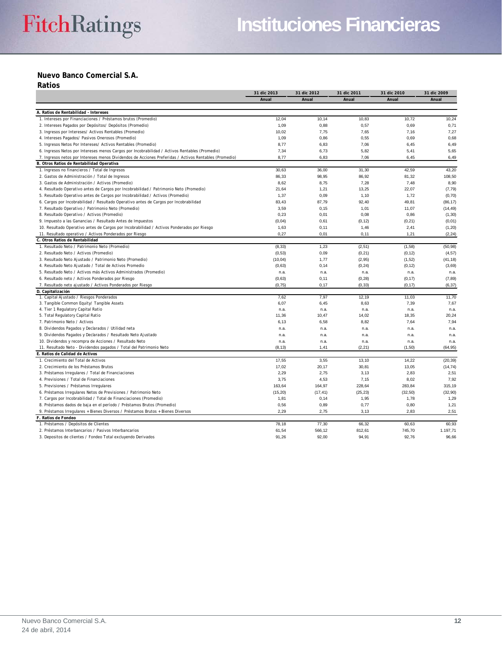**Nuevo Banco Comercial S.A. Ratios**

|                                                                                                        | 31 dic 2013 | 31 dic 2012 | 31 dic 2011 | 31 dic 2010 | 31 dic 2009 |
|--------------------------------------------------------------------------------------------------------|-------------|-------------|-------------|-------------|-------------|
|                                                                                                        | Anual       | Anual       | Anual       | Anual       | Anual       |
|                                                                                                        |             |             |             |             |             |
| A. Ratios de Rentabilidad - Intereses                                                                  |             |             |             |             |             |
| 1. Intereses por Financiaciones / Préstamos brutos (Promedio)                                          | 12,04       | 10,14       | 10,83       | 10,72       | 10,24       |
| 2. Intereses Pagados por Depósitos/Depósitos (Promedio)                                                | 1,09        | 0,88        | 0,57        | 0,69        | 0,71        |
| 3. Ingresos por Intereses/ Activos Rentables (Promedio)                                                | 10,02       | 7,75        | 7,65        | 7,16        | 7,27        |
| 4. Intereses Pagados/ Pasivos Onerosos (Promedio)                                                      | 1,09        | 0,86        | 0,55        | 0,69        | 0,68        |
| 5. Ingresos Netos Por Intereses/ Activos Rentables (Promedio)                                          | 8,77        | 6,83        | 7,06        | 6,45        | 6,49        |
| 6. Ingresos Netos por Intereses menos Cargos por Incobrabilidad / Activos Rentables (Promedio)         | 7,34        | 6,73        | 5,82        | 5,41        | 5,65        |
| 7. Ingresos netos por Intereses menos Dividendos de Acciones Preferidas / Activos Rentables (Promedio) | 8.77        | 6.83        | 7.06        | 6,45        | 6,49        |
| B. Otros Ratios de Rentabilidad Operativa                                                              |             |             |             |             |             |
| 1. Ingresos no financieros / Total de Ingresos                                                         | 30,63       | 36,00       | 31,30       | 42,59       | 43,20       |
| 2. Gastos de Administración / Total de Ingresos                                                        | 86,33       | 98,95       | 86,92       | 81,32       | 108,50      |
| 3. Gastos de Administración / Activos (Promedio)                                                       | 8,62        | 8,75        | 7,28        | 7,48        | 8,90        |
| 4. Resultado Operativo antes de Cargos por Incobrabilidad / Patrimonio Neto (Promedio)                 | 21,64       | 1,21        | 13,25       | 22,07       | (7, 79)     |
| 5. Resultado Operativo antes de Cargos por Incobrabilidad / Activos (Promedio)                         | 1,37        | 0,09        | 1,10        | 1,72        | (0, 70)     |
| 6. Cargos por Incobrabilidad / Resultado Operativo antes de Cargos por Incobrabilidad                  | 83,43       | 87,79       | 92,40       | 49,81       | (86, 17)    |
| 7. Resultado Operativo / Patrimonio Neto (Promedio)                                                    | 3,59        | 0.15        | 1,01        | 11,07       | (14, 49)    |
| 8. Resultado Operativo / Activos (Promedio)                                                            | 0,23        | 0,01        | 0,08        | 0,86        | (1, 30)     |
| 9. Impuesto a las Ganancias / Resultado Antes de Impuestos                                             | (0,04)      | 0.61        | (0, 12)     | (0, 21)     | (0,01)      |
| 10. Resultado Operativo antes de Cargos por Incobrabilidad / Activos Ponderados por Riesgo             | 1,63        | 0,11        | 1,46        | 2,41        | (1, 20)     |
| 11. Resultado operativo / Activos Ponderados por Riesgo                                                | 0,27        | 0,01        | 0,11        | 1,21        | (2, 24)     |
| C. Otros Ratios de Rentabilidad                                                                        |             |             |             |             |             |
| 1. Resultado Neto / Patrimonio Neto (Promedio)                                                         | (8, 33)     | 1,23        | (2, 51)     | (1, 58)     | (50, 98)    |
| 2. Resultado Neto / Activos (Promedio)                                                                 | (0, 53)     | 0,09        | (0, 21)     | (0, 12)     | (4, 57)     |
| 3. Resultado Neto Ajustado / Patrimonio Neto (Promedio)                                                | (10, 04)    | 1,77        | (2, 95)     | (1, 52)     | (41, 18)    |
| 4. Resultado Neto Ajustado / Total de Activos Promedio                                                 | (0,63)      | 0,14        | (0, 24)     | (0, 12)     | (3,69)      |
| 5. Resultado Neto / Activos más Activos Administrados (Promedio)                                       | n.a.        | n.a.        | n.a.        | n.a.        | n.a.        |
| 6. Resultado neto / Activos Ponderados por Riesgo                                                      | (0,63)      | 0,11        | (0, 28)     | (0, 17)     | (7, 89)     |
| 7. Resultado neto ajustado / Activos Ponderados por Riesgo                                             | (0, 75)     | 0,17        | (0, 33)     | (0, 17)     | (6, 37)     |
| D. Capitalización                                                                                      |             |             |             |             |             |
| 1. Capital Ajustado / Riesgos Ponderados                                                               | 7,62        | 7,97        | 12,19       | 11,03       | 11,70       |
| 3. Tangible Common Equity/ Tangible Assets                                                             | 6,07        | 6,45        | 8,63        | 7,39        | 7,67        |
| 4. Tier 1 Regulatory Capital Ratio                                                                     | n.a.        | n.a.        | n.a.        | n.a.        | n.a.        |
| 5. Total Regulatory Capital Ratio                                                                      | 11,36       | 10,47       | 14,02       | 18,35       | 20,24       |
| 7. Patrimonio Neto / Activos                                                                           | 6,13        | 6,58        | 8,82        | 7,64        | 7,94        |
| 8. Dividendos Pagados y Declarados / Utilidad neta                                                     | n.a.        | n.a.        | n.a.        | n.a.        | n.a.        |
| 9. Dividendos Pagados y Declarados / Resultado Neto Ajustado                                           | n.a.        | n.a.        | n.a.        | n.a.        | n.a.        |
| 10. Dividendos y recompra de Acciones / Resultado Neto                                                 | n.a.        | n.a.        | n.a.        | n.a.        | n.a.        |
| 11. Resultado Neto - Dividendos pagados / Total del Patrimonio Neto                                    | (8, 13)     | 1,41        | (2, 21)     | (1, 50)     | (64, 95)    |
| E. Ratios de Calidad de Activos                                                                        |             |             |             |             |             |
| 1. Crecimiento del Total de Activos                                                                    | 17,55       | 3,55        | 13,10       | 14,22       | (20, 39)    |
| 2. Crecimiento de los Préstamos Brutos                                                                 | 17,02       | 20,17       | 30,81       | 13,05       | (14, 74)    |
| 3. Préstamos Irregulares / Total de Financiaciones                                                     | 2,29        | 2,75        | 3,13        | 2,83        | 2,51        |
| 4. Previsiones / Total de Financiaciones                                                               | 3,75        | 4,53        | 7,15        | 8,02        | 7,92        |
| 5. Previsiones / Préstamos Irregulares                                                                 | 163,64      | 164,97      | 228,64      | 283,84      | 315,19      |
| 6. Préstamos Irregulares Netos de Previsiones / Patrimonio Neto                                        | (15, 20)    | (17, 41)    | (25, 23)    | (32, 50)    | (32, 90)    |
| 7. Cargos por Incobrabilidad / Total de Financiaciones (Promedio)                                      | 1,81        | 0,14        | 1,95        | 1,78        | 1,29        |
| 8. Préstamos dados de baja en el período / Préstamos Brutos (Promedio)                                 | 0,56        | 0.89        | 0,77        | 0,80        | 1,21        |
| 9. Préstamos Irregulares + Bienes Diversos / Préstamos Brutos + Bienes Diversos                        | 2,29        | 2,75        | 3,13        | 2,83        | 2,51        |
| F. Ratios de Fondeo                                                                                    |             |             |             |             |             |
| 1. Préstamos / Depósitos de Clientes                                                                   | 78,18       | 77,30       | 66,32       | 60,63       | 60,93       |
| 2. Préstamos Interbancarios / Pasivos Interbancarios                                                   | 61,54       | 566,12      | 812,61      | 745,70      | 1.197,71    |
| 3. Depositos de clientes / Fondeo Total excluyendo Derivados                                           | 91,26       | 92,00       | 94,91       | 92,76       | 96,66       |